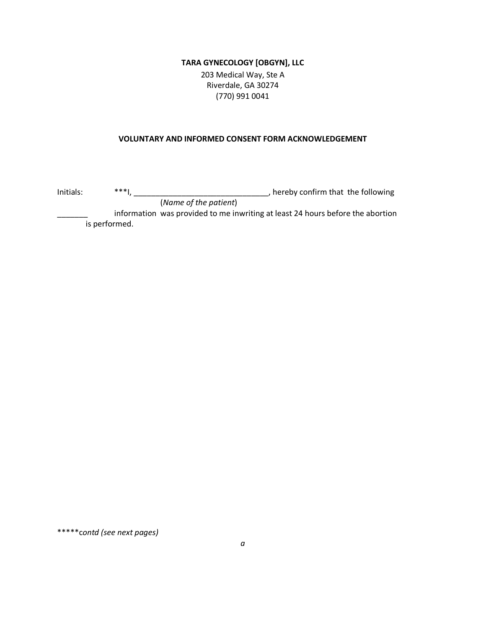#### **TARA GYNECOLOGY [OBGYN], LLC**

203 Medical Way, Ste A Riverdale, GA 30274 (770) 991 0041

#### **VOLUNTARY AND INFORMED CONSENT FORM ACKNOWLEDGEMENT**

Initials: \*\*\*I, \_\_\_\_\_\_\_\_\_\_\_\_\_\_\_\_\_\_\_\_\_\_\_\_\_\_\_\_\_\_\_, hereby confirm that the following (*Name of the patient*)

information was provided to me inwriting at least 24 hours before the abortion is performed.

\*\*\*\*\*c*ontd (see next pages)*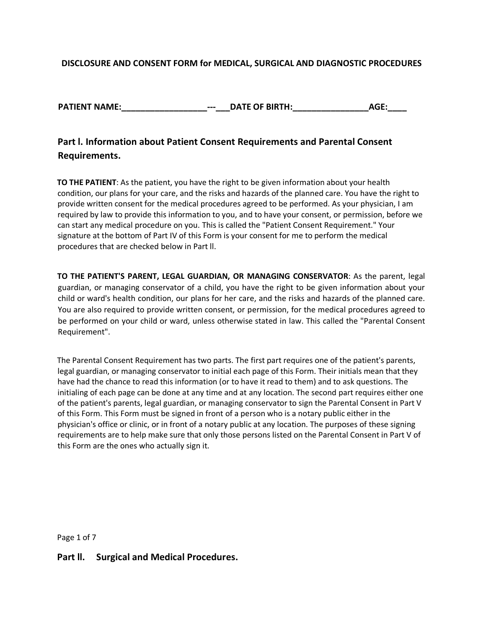# **DISCLOSURE AND CONSENT FORM for MEDICAL, SURGICAL AND DIAGNOSTIC PROCEDURES**

**PATIENT NAME:** The contract of the contract of the contract of BIRTH:  $\overline{A}$  and  $\overline{B}$  and  $\overline{C}$  and  $\overline{D}$ 

# **Part l. Information about Patient Consent Requirements and Parental Consent Requirements.**

**TO THE PATIENT**: As the patient, you have the right to be given information about your health condition, our plans for your care, and the risks and hazards of the planned care. You have the right to provide written consent for the medical procedures agreed to be performed. As your physician, I am required by law to provide this information to you, and to have your consent, or permission, before we can start any medical procedure on you. This is called the "Patient Consent Requirement." Your signature at the bottom of Part IV of this Form is your consent for me to perform the medical procedures that are checked below in Part ll.

**TO THE PATIENT'S PARENT, LEGAL GUARDIAN, OR MANAGING CONSERVATOR**: As the parent, legal guardian, or managing conservator of a child, you have the right to be given information about your child or ward's health condition, our plans for her care, and the risks and hazards of the planned care. You are also required to provide written consent, or permission, for the medical procedures agreed to be performed on your child or ward, unless otherwise stated in law. This called the "Parental Consent Requirement".

The Parental Consent Requirement has two parts. The first part requires one of the patient's parents, legal guardian, or managing conservator to initial each page of this Form. Their initials mean that they have had the chance to read this information (or to have it read to them) and to ask questions. The initialing of each page can be done at any time and at any location. The second part requires either one of the patient's parents, legal guardian, or managing conservator to sign the Parental Consent in Part V of this Form. This Form must be signed in front of a person who is a notary public either in the physician's office or clinic, or in front of a notary public at any location. The purposes of these signing requirements are to help make sure that only those persons listed on the Parental Consent in Part V of this Form are the ones who actually sign it.

Page 1 of 7

#### **Part ll. Surgical and Medical Procedures.**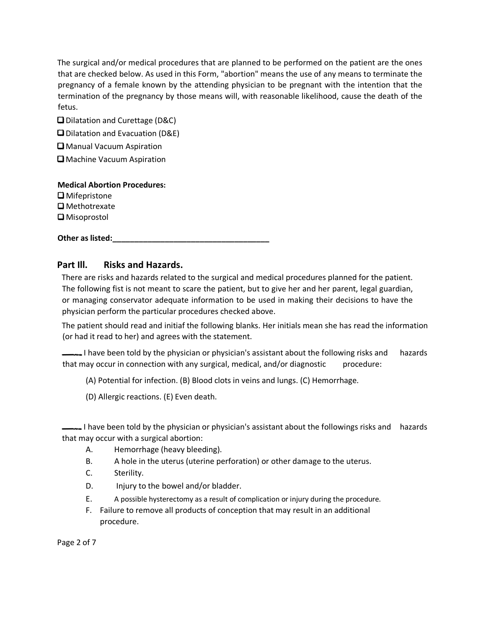The surgical and/or medical procedures that are planned to be performed on the patient are the ones that are checked below. As used in this Form, "abortion" means the use of any means to terminate the pregnancy of a female known by the attending physician to be pregnant with the intention that the termination of the pregnancy by those means will, with reasonable likelihood, cause the death of the fetus.

Dilatation and Curettage (D&C) Dilatation and Evacuation (D&E)

**U** Manual Vacuum Aspiration

Machine Vacuum Aspiration

**Medical Abortion Procedures:**

**O** Mifepristone **Q**Methotrexate **O** Misoprostol

**Other as listed:** 

# **Part Ill. Risks and Hazards.**

There are risks and hazards related to the surgical and medical procedures planned for the patient. The following fist is not meant to scare the patient, but to give her and her parent, legal guardian, or managing conservator adequate information to be used in making their decisions to have the physician perform the particular procedures checked above.

The patient should read and initiaf the following blanks. Her initials mean she has read the information (or had it read to her) and agrees with the statement.

I have been told by the physician or physician's assistant about the following risks and hazards that may occur in connection with any surgical, medical, and/or diagnostic procedure:

(A) Potential for infection. (B) Blood clots in veins and lungs. (C) Hemorrhage.

(D) Allergic reactions. (E) Even death.

I have been told by the physician or physician's assistant about the followings risks and hazards that may occur with a surgical abortion:

- A. Hemorrhage (heavy bleeding).
- B. A hole in the uterus (uterine perforation) or other damage to the uterus.
- C. Sterility.
- D. Injury to the bowel and/or bladder.
- E. A possible hysterectomy as a result of complication or injury during the procedure.
- F. Failure to remove all products of conception that may result in an additional procedure.

Page 2 of 7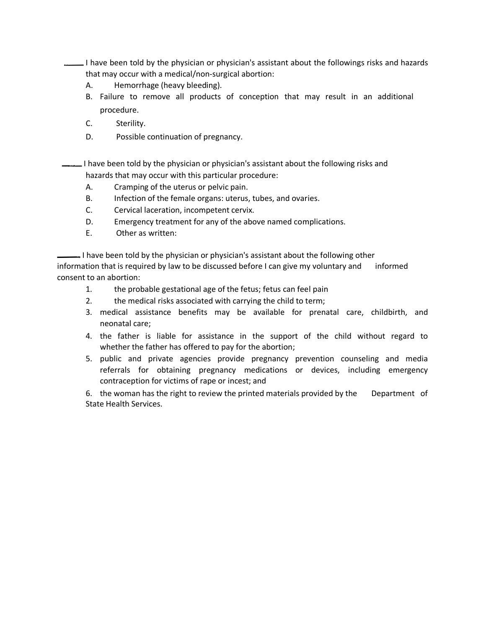- I have been told by the physician or physician's assistant about the followings risks and hazards that may occur with a medical/non-surgical abortion:
	- A. Hemorrhage (heavy bleeding).
	- B. Failure to remove all products of conception that may result in an additional procedure.
	- C. Sterility.
	- D. Possible continuation of pregnancy.
- I have been told by the physician or physician's assistant about the following risks and hazards that may occur with this particular procedure:
	- A. Cramping of the uterus or pelvic pain.
	- B. Infection of the female organs: uterus, tubes, and ovaries.
	- C. Cervical laceration, incompetent cervix.
	- D. Emergency treatment for any of the above named complications.
	- E. Other as written:

I have been told by the physician or physician's assistant about the following other information that is required by law to be discussed before I can give my voluntary and informed consent to an abortion:

- 1. the probable gestational age of the fetus; fetus can feel pain
- 2. the medical risks associated with carrying the child to term;
- 3. medical assistance benefits may be available for prenatal care, childbirth, and neonatal care;
- 4. the father is liable for assistance in the support of the child without regard to whether the father has offered to pay for the abortion;
- 5. public and private agencies provide pregnancy prevention counseling and media referrals for obtaining pregnancy medications or devices, including emergency contraception for victims of rape or incest; and

6. the woman has the right to review the printed materials provided by the Department of State Health Services.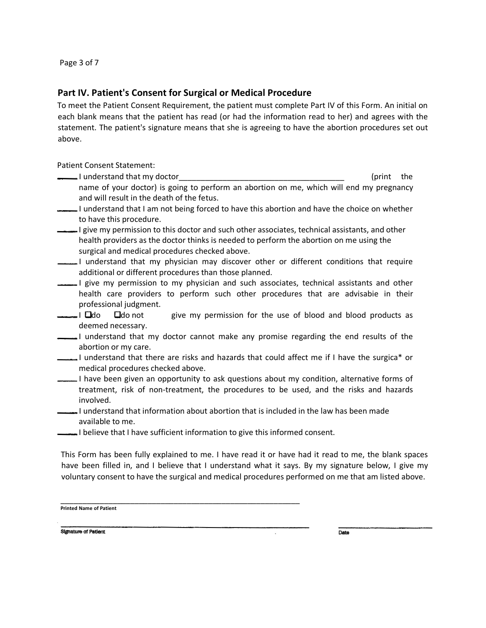Page 3 of 7

### **Part IV. Patient's Consent for Surgical or Medical Procedure**

To meet the Patient Consent Requirement, the patient must complete Part IV of this Form. An initial on each blank means that the patient has read (or had the information read to her) and agrees with the statement. The patient's signature means that she is agreeing to have the abortion procedures set out above.

Patient Consent Statement:

| I understand that my doctor                                                                                                                                                                                                                 | (print) | the |
|---------------------------------------------------------------------------------------------------------------------------------------------------------------------------------------------------------------------------------------------|---------|-----|
| name of your doctor) is going to perform an abortion on me, which will end my pregnancy<br>and will result in the death of the fetus.                                                                                                       |         |     |
| I understand that I am not being forced to have this abortion and have the choice on whether<br>to have this procedure.                                                                                                                     |         |     |
| I give my permission to this doctor and such other associates, technical assistants, and other<br>health providers as the doctor thinks is needed to perform the abortion on me using the<br>surgical and medical procedures checked above. |         |     |
| l understand that my physician may discover other or different conditions that require<br>additional or different procedures than those planned.                                                                                            |         |     |
| I give my permission to my physician and such associates, technical assistants and other<br>health care providers to perform such other procedures that are advisable in their<br>professional judgment.                                    |         |     |
| —— I Qdo<br>$\Box$ do not<br>give my permission for the use of blood and blood products as<br>deemed necessary.                                                                                                                             |         |     |
| I understand that my doctor cannot make any promise regarding the end results of the<br>abortion or my care.                                                                                                                                |         |     |
| I understand that there are risks and hazards that could affect me if I have the surgica* or<br>medical procedures checked above.                                                                                                           |         |     |
| I have been given an opportunity to ask questions about my condition, alternative forms of<br>treatment, risk of non-treatment, the procedures to be used, and the risks and hazards<br>involved.                                           |         |     |
| I understand that information about abortion that is included in the law has been made                                                                                                                                                      |         |     |

available to me. I believe that I have sufficient information to give this informed consent.

This Form has been fully explained to me. I have read it or have had it read to me, the blank spaces have been filled in, and I believe that I understand what it says. By my signature below, I give my voluntary consent to have the surgical and medical procedures performed on me that am listed above.

\_\_\_\_\_\_\_\_\_\_\_\_\_\_\_\_\_\_\_\_\_\_\_\_\_\_\_\_\_\_\_\_\_\_\_\_\_\_\_\_\_\_\_\_\_\_\_\_\_\_\_\_\_\_\_ **Printed Name of Patient**

**Signature of Patient** 

Date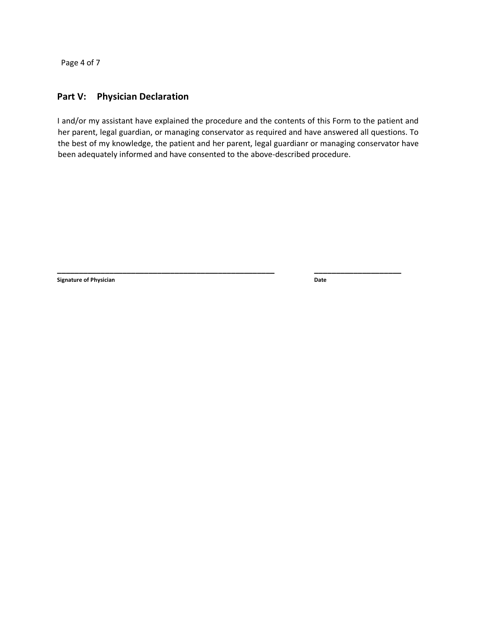Page 4 of 7

# **Part V: Physician Declaration**

I and/or my assistant have explained the procedure and the contents of this Form to the patient and her parent, legal guardian, or managing conservator as required and have answered all questions. To the best of my knowledge, the patient and her parent, legal guardianr or managing conservator have been adequately informed and have consented to the above-described procedure.

**\_\_\_\_\_\_\_\_\_\_\_\_\_\_\_\_\_\_\_\_\_\_\_\_\_\_\_\_\_\_\_\_\_\_\_\_\_\_\_\_\_\_\_\_\_\_\_\_\_\_ \_\_\_\_\_\_\_\_\_\_\_\_\_\_\_\_\_\_\_\_**

**Signature of Physician Date**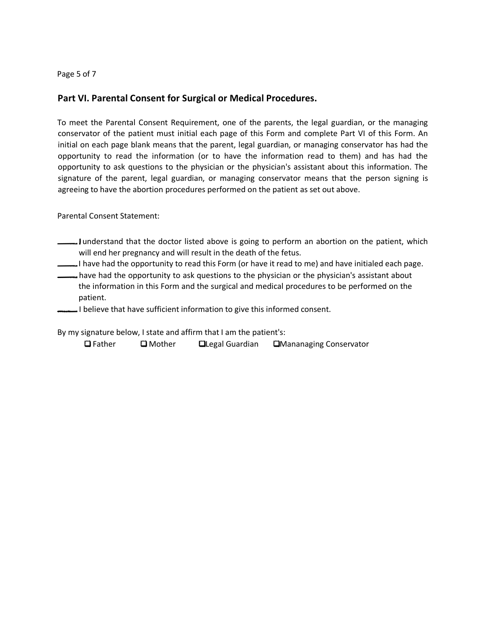#### Page 5 of 7

### **Part VI. Parental Consent for Surgical or Medical Procedures.**

To meet the Parental Consent Requirement, one of the parents, the legal guardian, or the managing conservator of the patient must initial each page of this Form and complete Part VI of this Form. An initial on each page blank means that the parent, legal guardian, or managing conservator has had the opportunity to read the information (or to have the information read to them) and has had the opportunity to ask questions to the physician or the physician's assistant about this information. The signature of the parent, legal guardian, or managing conservator means that the person signing is agreeing to have the abortion procedures performed on the patient as set out above.

Parental Consent Statement:

- understand that the doctor listed above is going to perform an abortion on the patient, which will end her pregnancy and will result in the death of the fetus.
- I have had the opportunity to read this Form (or have it read to me) and have initialed each page.
- have had the opportunity to ask questions to the physician or the physician's assistant about the information in this Form and the surgical and medical procedures to be performed on the patient.
- I believe that have sufficient information to give this informed consent.

By my signature below, I state and affirm that I am the patient's:

Father Mother Legal Guardian Mananaging Conservator